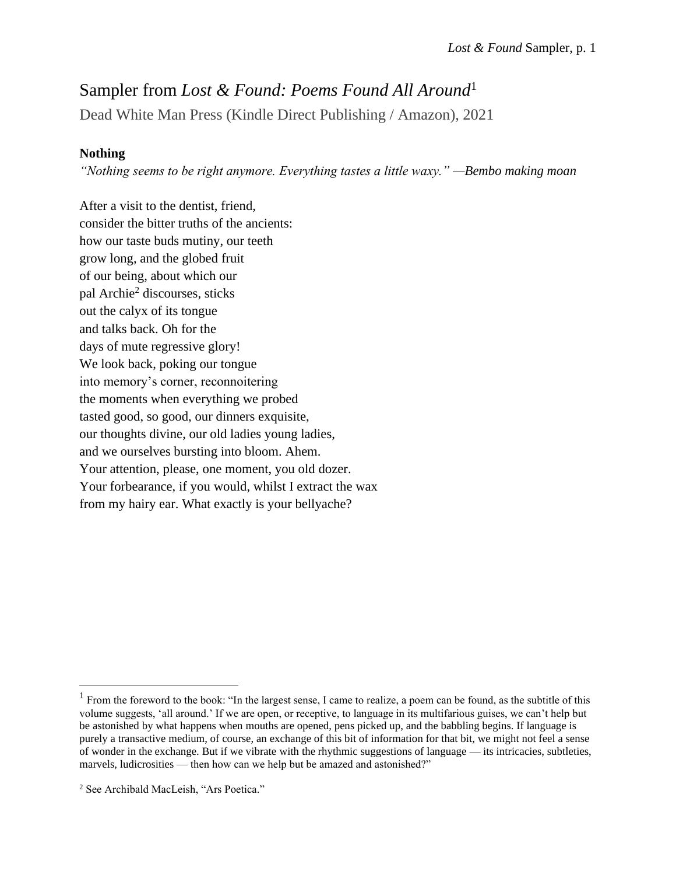## Sampler from *Lost & Found: Poems Found All Around*<sup>1</sup>

Dead White Man Press (Kindle Direct Publishing / Amazon), 2021

### **Nothing**

*"Nothing seems to be right anymore. Everything tastes a little waxy." —Bembo making moan*

After a visit to the dentist, friend, consider the bitter truths of the ancients: how our taste buds mutiny, our teeth grow long, and the globed fruit of our being, about which our pal Archie<sup>2</sup> discourses, sticks out the calyx of its tongue and talks back. Oh for the days of mute regressive glory! We look back, poking our tongue into memory's corner, reconnoitering the moments when everything we probed tasted good, so good, our dinners exquisite, our thoughts divine, our old ladies young ladies, and we ourselves bursting into bloom. Ahem. Your attention, please, one moment, you old dozer. Your forbearance, if you would, whilst I extract the wax from my hairy ear. What exactly is your bellyache?

 $<sup>1</sup>$  From the foreword to the book: "In the largest sense, I came to realize, a poem can be found, as the subtitle of this</sup> volume suggests, 'all around.' If we are open, or receptive, to language in its multifarious guises, we can't help but be astonished by what happens when mouths are opened, pens picked up, and the babbling begins. If language is purely a transactive medium, of course, an exchange of this bit of information for that bit, we might not feel a sense of wonder in the exchange. But if we vibrate with the rhythmic suggestions of language — its intricacies, subtleties, marvels, ludicrosities — then how can we help but be amazed and astonished?"

<sup>2</sup> See Archibald MacLeish, "Ars Poetica."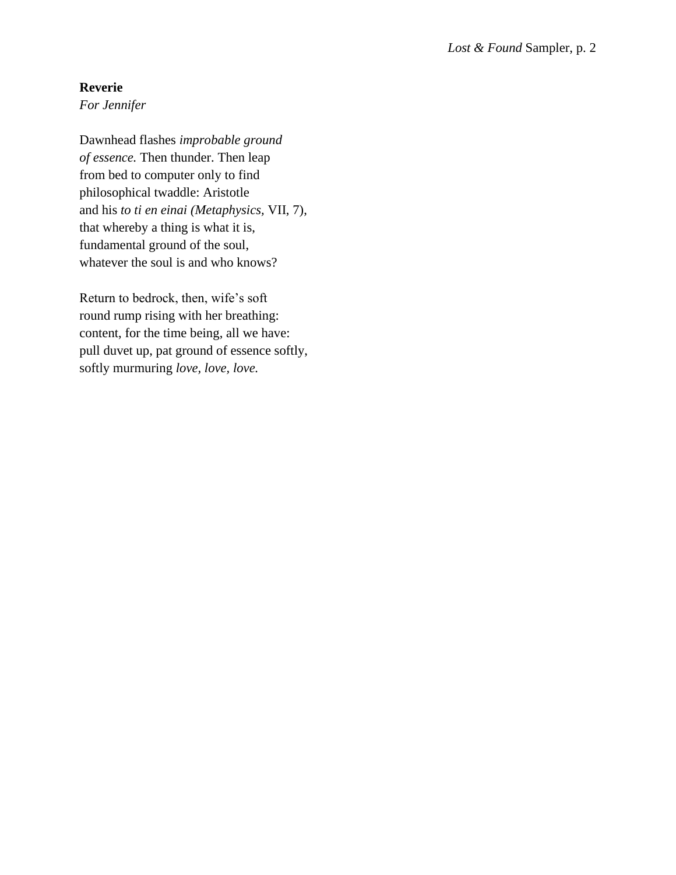#### **Reverie**

*For Jennifer* 

Dawnhead flashes *improbable ground of essence.* Then thunder. Then leap from bed to computer only to find philosophical twaddle: Aristotle and his *to ti en einai (Metaphysics,* VII, 7), that whereby a thing is what it is, fundamental ground of the soul, whatever the soul is and who knows?

Return to bedrock, then, wife's soft round rump rising with her breathing: content, for the time being, all we have: pull duvet up, pat ground of essence softly, softly murmuring *love, love, love.*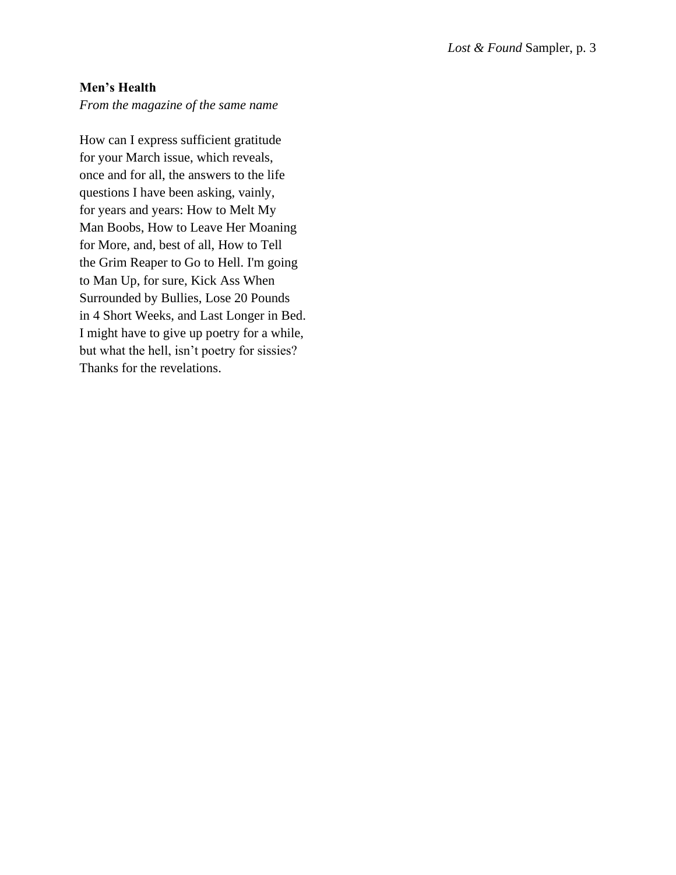#### **Men's Health**

*From the magazine of the same name*

How can I express sufficient gratitude for your March issue, which reveals, once and for all, the answers to the life questions I have been asking, vainly, for years and years: How to Melt My Man Boobs, How to Leave Her Moaning for More, and, best of all, How to Tell the Grim Reaper to Go to Hell. I'm going to Man Up, for sure, Kick Ass When Surrounded by Bullies, Lose 20 Pounds in 4 Short Weeks, and Last Longer in Bed. I might have to give up poetry for a while, but what the hell, isn't poetry for sissies? Thanks for the revelations.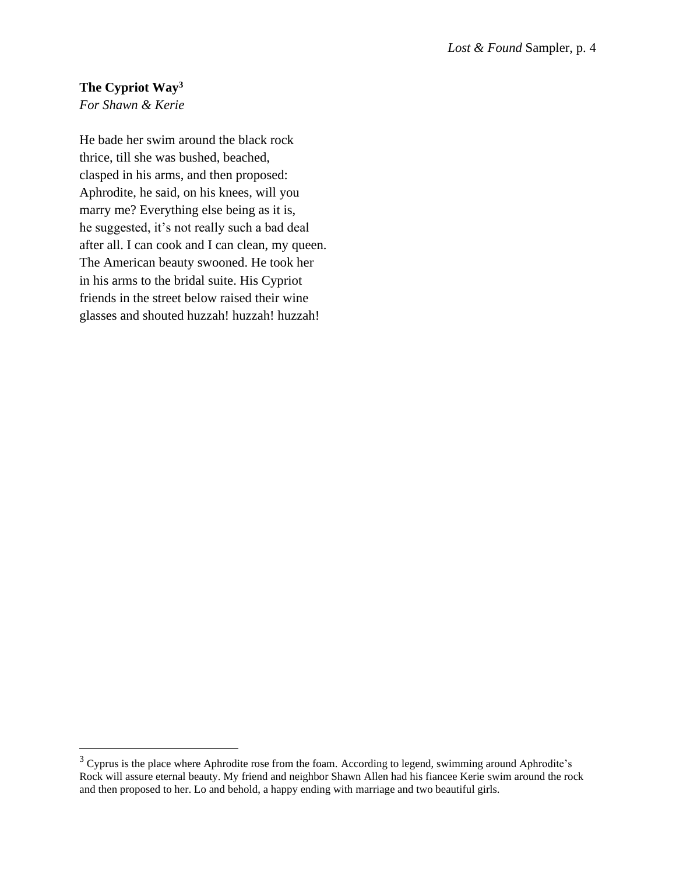# **The Cypriot Way<sup>3</sup>**

*For Shawn & Kerie*

He bade her swim around the black rock thrice, till she was bushed, beached, clasped in his arms, and then proposed: Aphrodite, he said, on his knees, will you marry me? Everything else being as it is, he suggested, it's not really such a bad deal after all. I can cook and I can clean, my queen. The American beauty swooned. He took her in his arms to the bridal suite. His Cypriot friends in the street below raised their wine glasses and shouted huzzah! huzzah! huzzah!

 $3$  Cyprus is the place where Aphrodite rose from the foam. According to legend, swimming around Aphrodite's Rock will assure eternal beauty. My friend and neighbor Shawn Allen had his fiancee Kerie swim around the rock and then proposed to her. Lo and behold, a happy ending with marriage and two beautiful girls.